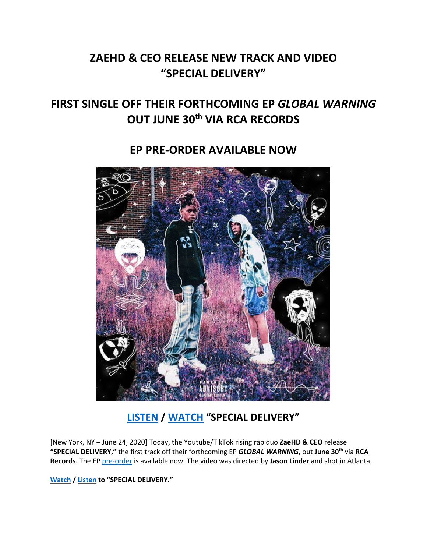# **ZAEHD & CEO RELEASE NEW TRACK AND VIDEO "SPECIAL DELIVERY"**

# **FIRST SINGLE OFF THEIR FORTHCOMING EP** *GLOBAL WARNING* **OUT JUNE 30th VIA RCA RECORDS**

### **EP PRE-ORDER AVAILABLE NOW**



## **[LISTEN](https://highdefgang.lnk.to/SpecialDeliveryPR) / [WATCH](https://www.youtube.com/watch?v=BIUSReP1V9A) "SPECIAL DELIVERY"**

[New York, NY – June 24, 2020] Today, the Youtube/TikTok rising rap duo **ZaeHD & CEO** release **"SPECIAL DELIVERY,"** the first track off their forthcoming EP *GLOBAL WARNING*, out **June 30th** via **RCA Records**. The EP [pre-order](https://highdefgang.lnk.to/SpecialDeliveryPR) is available now. The video was directed by **Jason Linder** and shot in Atlanta.

**[Watch](https://www.youtube.com/watch?v=BIUSReP1V9A) / [Listen](https://highdefgang.lnk.to/SpecialDeliveryPR) to "SPECIAL DELIVERY."**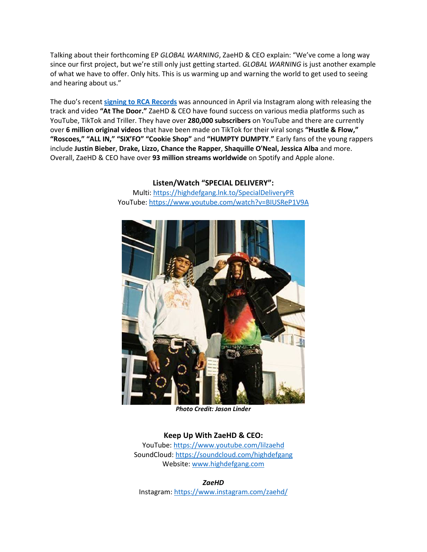Talking about their forthcoming EP *GLOBAL WARNING*, ZaeHD & CEO explain: "We've come a long way since our first project, but we're still only just getting started. *GLOBAL WARNING* is just another example of what we have to offer. Only hits. This is us warming up and warning the world to get used to seeing and hearing about us."

The duo's recent **[signing to RCA Records](https://www.instagram.com/p/B_NY1q5FnKE/)** was announced in April via Instagram along with releasing the track and video **"At The Door."** ZaeHD & CEO have found success on various media platforms such as YouTube, TikTok and Triller. They have over **280,000 subscribers** on YouTube and there are currently over **6 million original videos** that have been made on TikTok for their viral songs **"Hustle & Flow," "Roscoes," "ALL IN," "SIX'FO" "Cookie Shop"** and **"HUMPTY DUMPTY**.**"** Early fans of the young rappers include **Justin Bieber**, **Drake, Lizzo, Chance the Rapper**, **Shaquille O'Neal, Jessica Alba** and more. Overall, ZaeHD & CEO have over **93 million streams worldwide** on Spotify and Apple alone.



**Listen/Watch "SPECIAL DELIVERY":**

Multi[: https://highdefgang.lnk.to/SpecialDeliveryPR](https://highdefgang.lnk.to/SpecialDeliveryPR) YouTube:<https://www.youtube.com/watch?v=BIUSReP1V9A>

*Photo Credit: Jason Linder*

### **Keep Up With ZaeHD & CEO:**

YouTube: [https://www.youtube.com/lilzaehd](https://eur01.safelinks.protection.outlook.com/?url=https%3A%2F%2Fwww.youtube.com%2Flilzaehd&data=02%7C01%7Camanda.zimmerman%40rcarecords.com%7C8a46ddc98d7b43ef42dd08d7e3272013%7Cf0aff3b791a54aaeaf71c63e1dda2049%7C0%7C0%7C637227629492513513&sdata=ZzDsxr8drVaKVM2A0O2w37k4HBGwmL6TUJROPvSyEBI%3D&reserved=0) SoundCloud[: https://soundcloud.com/highdefgang](https://eur01.safelinks.protection.outlook.com/?url=https%3A%2F%2Fsoundcloud.com%2Fhighdefgang&data=02%7C01%7Camanda.zimmerman%40rcarecords.com%7C8a46ddc98d7b43ef42dd08d7e3272013%7Cf0aff3b791a54aaeaf71c63e1dda2049%7C0%7C0%7C637227629492503520&sdata=Zl1WboX3pHDq%2BJTmumLqEcCoH864QlbCDTyOl9G8Yn0%3D&reserved=0) Website: [www.highdefgang.com](http://www.highdefgang.com/)

*ZaeHD* Instagram[: https://www.instagram.com/zaehd/](https://eur01.safelinks.protection.outlook.com/?url=https%3A%2F%2Fwww.instagram.com%2Fzaehd%2F&data=02%7C01%7Camanda.zimmerman%40rcarecords.com%7C8a46ddc98d7b43ef42dd08d7e3272013%7Cf0aff3b791a54aaeaf71c63e1dda2049%7C0%7C0%7C637227629492513513&sdata=BZeWnNNv2m2d%2FIY5035vDIiwVyuUImvkfN62xi%2F1fK8%3D&reserved=0)